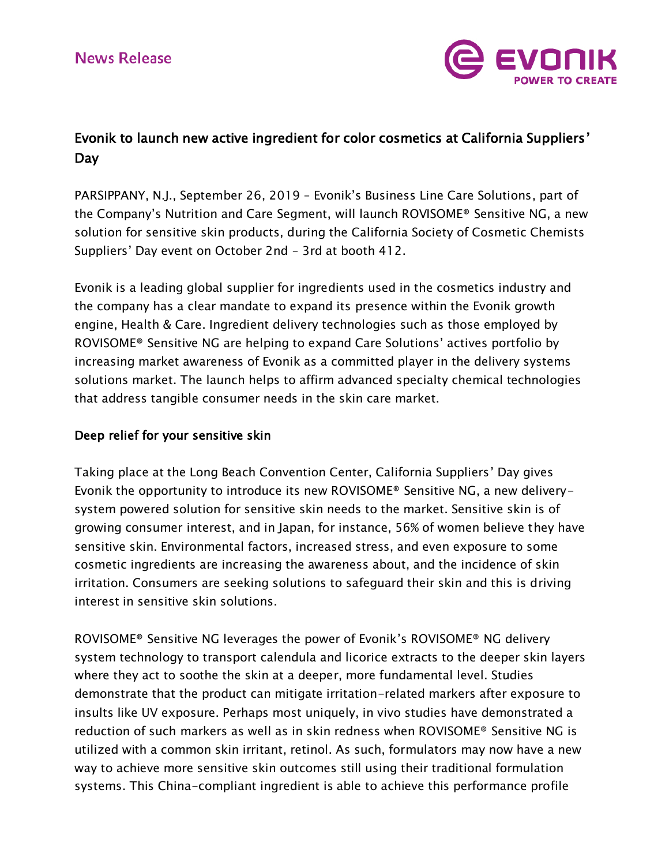

# Evonik to launch new active ingredient for color cosmetics at California Suppliers' Day

PARSIPPANY, N.J., September 26, 2019 – Evonik's Business Line Care Solutions, part of the Company's Nutrition and Care Segment, will launch ROVISOME® Sensitive NG, a new solution for sensitive skin products, during the California Society of Cosmetic Chemists Suppliers' Day event on October 2nd – 3rd at booth 412.

Evonik is a leading global supplier for ingredients used in the cosmetics industry and the company has a clear mandate to expand its presence within the Evonik growth engine, Health & Care. Ingredient delivery technologies such as those employed by ROVISOME® Sensitive NG are helping to expand Care Solutions' actives portfolio by increasing market awareness of Evonik as a committed player in the delivery systems solutions market. The launch helps to affirm advanced specialty chemical technologies that address tangible consumer needs in the skin care market.

## Deep relief for your sensitive skin

Taking place at the Long Beach Convention Center, California Suppliers' Day gives Evonik the opportunity to introduce its new ROVISOME® Sensitive NG, a new deliverysystem powered solution for sensitive skin needs to the market. Sensitive skin is of growing consumer interest, and in Japan, for instance, 56% of women believe they have sensitive skin. Environmental factors, increased stress, and even exposure to some cosmetic ingredients are increasing the awareness about, and the incidence of skin irritation. Consumers are seeking solutions to safeguard their skin and this is driving interest in sensitive skin solutions.

ROVISOME® Sensitive NG leverages the power of Evonik's ROVISOME® NG delivery system technology to transport calendula and licorice extracts to the deeper skin layers where they act to soothe the skin at a deeper, more fundamental level. Studies demonstrate that the product can mitigate irritation-related markers after exposure to insults like UV exposure. Perhaps most uniquely, in vivo studies have demonstrated a reduction of such markers as well as in skin redness when ROVISOME® Sensitive NG is utilized with a common skin irritant, retinol. As such, formulators may now have a new way to achieve more sensitive skin outcomes still using their traditional formulation systems. This China-compliant ingredient is able to achieve this performance profile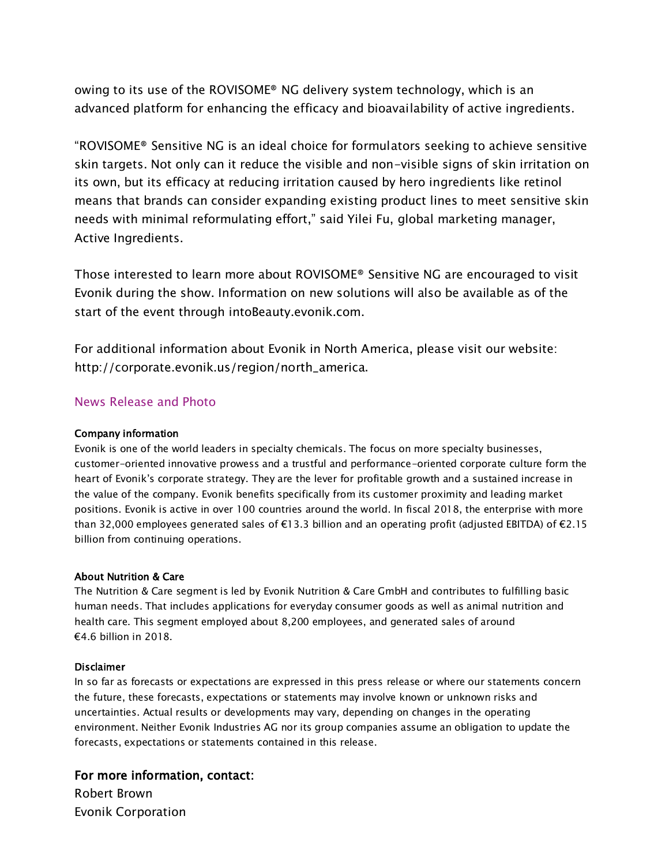owing to its use of the ROVISOME® NG delivery system technology, which is an advanced platform for enhancing the efficacy and bioavailability of active ingredients.

"ROVISOME® Sensitive NG is an ideal choice for formulators seeking to achieve sensitive skin targets. Not only can it reduce the visible and non-visible signs of skin irritation on its own, but its efficacy at reducing irritation caused by hero ingredients like retinol means that brands can consider expanding existing product lines to meet sensitive skin needs with minimal reformulating effort," said Yilei Fu, global marketing manager, Active Ingredients.

Those interested to learn more about ROVISOME® Sensitive NG are encouraged to visit Evonik during the show. Information on new solutions will also be available as of the start of the event through [intoBeauty.evonik.com.](https://intobeauty.evonik.com/)

For additional information about Evonik in North America, please visit our website: http://corporate[.](http://corporate.evonik.us/region/north_america)evonik.us/region/north\_america.

### [News Release and Photo](https://corporate.evonik.us/region/north_america/en/pages/article.aspx?articleId=117753)

#### Company information

Evonik is one of the world leaders in specialty chemicals. The focus on more specialty businesses, customer-oriented innovative prowess and a trustful and performance-oriented corporate culture form the heart of Evonik's corporate strategy. They are the lever for profitable growth and a sustained increase in the value of the company. Evonik benefits specifically from its customer proximity and leading market positions. Evonik is active in over 100 countries around the world. In fiscal 2018, the enterprise with more than 32,000 employees generated sales of €13.3 billion and an operating profit (adjusted EBITDA) of €2.15 billion from continuing operations.

#### About Nutrition & Care

The Nutrition & Care segment is led by Evonik Nutrition & Care GmbH and contributes to fulfilling basic human needs. That includes applications for everyday consumer goods as well as animal nutrition and health care. This segment employed about 8,200 employees, and generated sales of around €4.6 billion in 2018.

#### Disclaimer

In so far as forecasts or expectations are expressed in this press release or where our statements concern the future, these forecasts, expectations or statements may involve known or unknown risks and uncertainties. Actual results or developments may vary, depending on changes in the operating environment. Neither Evonik Industries AG nor its group companies assume an obligation to update the forecasts, expectations or statements contained in this release.

For more information, contact: Robert Brown Evonik Corporation